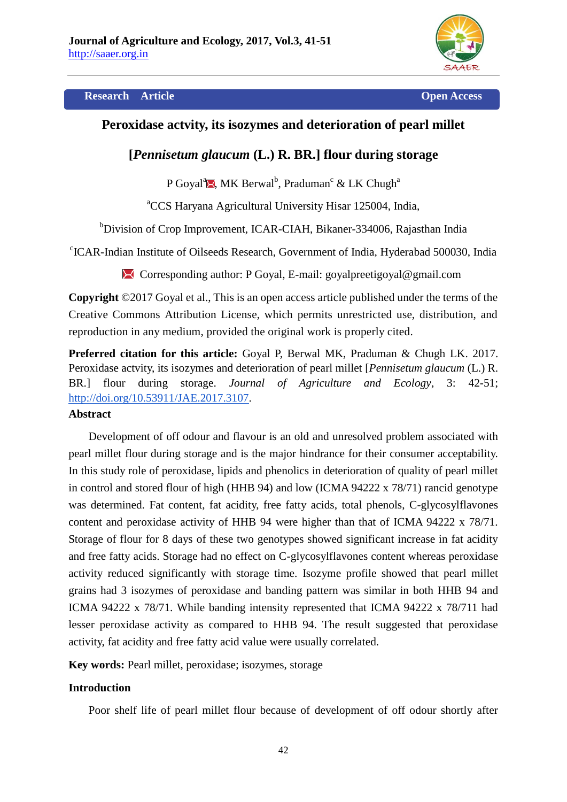

#### **Research Article Open Access**

# **Peroxidase actvity, its isozymes and deterioration of pearl millet**

# **[***Pennisetum glaucum* **(L.) R. BR.] flour during storage**

P Goyal<sup>a</sup> $\blacksquare$ , MK Berwal<sup>b</sup>, Praduman<sup>c</sup> & LK Chugh<sup>a</sup>

<sup>a</sup>CCS Haryana Agricultural University Hisar 125004, India,

<sup>b</sup>Division of Crop Improvement, ICAR-CIAH, Bikaner-334006, Rajasthan India

c ICAR-Indian Institute of Oilseeds Research, Government of India, Hyderabad 500030, India

Corresponding author: P Goyal, E-mail: goyalpreetigoyal@gmail.com

**Copyright** ©2017 Goyal et al., This is an open access article published under the terms of the Creative Commons Attribution License, which permits unrestricted use, distribution, and reproduction in any medium, provided the original work is properly cited.

**Preferred citation for this article:** Goyal P, Berwal MK, Praduman & Chugh LK. 2017. Peroxidase actvity, its isozymes and deterioration of pearl millet [*Pennisetum glaucum* (L.) R. BR.] flour during storage. *Journal of Agriculture and Ecology*, 3: 42-51; [http://doi.org/10.53911/JAE.2017.3107.](http://doi.org/10.53911/JAE.2017.3107)

#### **Abstract**

Development of off odour and flavour is an old and unresolved problem associated with pearl millet flour during storage and is the major hindrance for their consumer acceptability. In this study role of peroxidase, lipids and phenolics in deterioration of quality of pearl millet in control and stored flour of high (HHB 94) and low (ICMA 94222 x 78/71) rancid genotype was determined. Fat content, fat acidity, free fatty acids, total phenols, C-glycosylflavones content and peroxidase activity of HHB 94 were higher than that of ICMA 94222 x 78/71. Storage of flour for 8 days of these two genotypes showed significant increase in fat acidity and free fatty acids. Storage had no effect on C-glycosylflavones content whereas peroxidase activity reduced significantly with storage time. Isozyme profile showed that pearl millet grains had 3 isozymes of peroxidase and banding pattern was similar in both HHB 94 and ICMA 94222 x 78/71. While banding intensity represented that ICMA 94222 x 78/711 had lesser peroxidase activity as compared to HHB 94. The result suggested that peroxidase activity, fat acidity and free fatty acid value were usually correlated.

**Key words:** Pearl millet, peroxidase; isozymes, storage

# **Introduction**

Poor shelf life of pearl millet flour because of development of off odour shortly after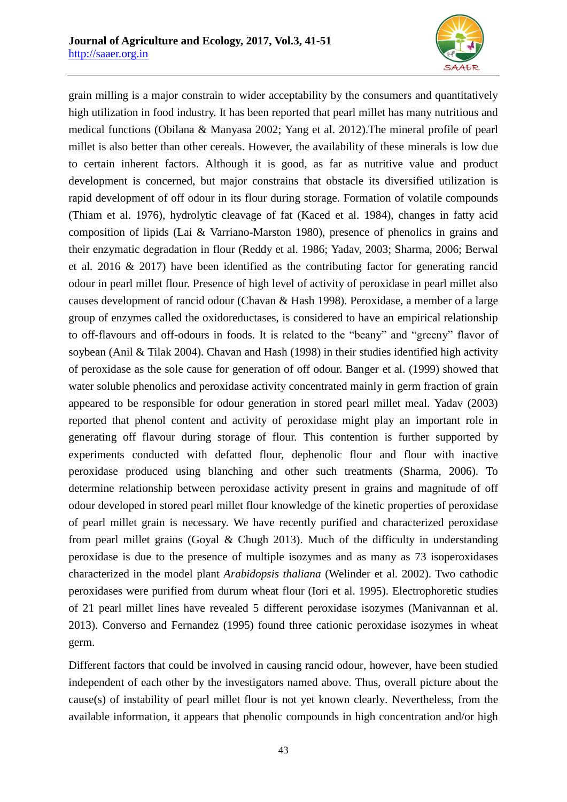

grain milling is a major constrain to wider acceptability by the consumers and quantitatively high utilization in food industry. It has been reported that pearl millet has many nutritious and medical functions (Obilana & Manyasa 2002; Yang et al. 2012).The mineral profile of pearl millet is also better than other cereals. However, the availability of these minerals is low due to certain inherent factors. Although it is good, as far as nutritive value and product development is concerned, but major constrains that obstacle its diversified utilization is rapid development of off odour in its flour during storage. Formation of volatile compounds (Thiam et al. 1976), hydrolytic cleavage of fat (Kaced et al. 1984), changes in fatty acid composition of lipids (Lai & Varriano-Marston 1980), presence of phenolics in grains and their enzymatic degradation in flour (Reddy et al. 1986; Yadav, 2003; Sharma, 2006; Berwal et al. 2016 & 2017) have been identified as the contributing factor for generating rancid odour in pearl millet flour. Presence of high level of activity of peroxidase in pearl millet also causes development of rancid odour (Chavan & Hash 1998). Peroxidase, a member of a large group of enzymes called the oxidoreductases, is considered to have an empirical relationship to off-flavours and off-odours in foods. It is related to the "beany" and "greeny" flavor of soybean (Anil & Tilak 2004). Chavan and Hash (1998) in their studies identified high activity of peroxidase as the sole cause for generation of off odour. Banger et al. (1999) showed that water soluble phenolics and peroxidase activity concentrated mainly in germ fraction of grain appeared to be responsible for odour generation in stored pearl millet meal. Yadav (2003) reported that phenol content and activity of peroxidase might play an important role in generating off flavour during storage of flour. This contention is further supported by experiments conducted with defatted flour, dephenolic flour and flour with inactive peroxidase produced using blanching and other such treatments (Sharma, 2006). To determine relationship between peroxidase activity present in grains and magnitude of off odour developed in stored pearl millet flour knowledge of the kinetic properties of peroxidase of pearl millet grain is necessary. We have recently purified and characterized peroxidase from pearl millet grains (Goyal & Chugh 2013). Much of the difficulty in understanding peroxidase is due to the presence of multiple isozymes and as many as 73 isoperoxidases characterized in the model plant *Arabidopsis thaliana* (Welinder et al. 2002). Two cathodic peroxidases were purified from durum wheat flour (Iori et al. 1995). Electrophoretic studies of 21 pearl millet lines have revealed 5 different peroxidase isozymes (Manivannan et al. 2013). Converso and Fernandez (1995) found three cationic peroxidase isozymes in wheat germ.

Different factors that could be involved in causing rancid odour, however, have been studied independent of each other by the investigators named above. Thus, overall picture about the cause(s) of instability of pearl millet flour is not yet known clearly. Nevertheless, from the available information, it appears that phenolic compounds in high concentration and/or high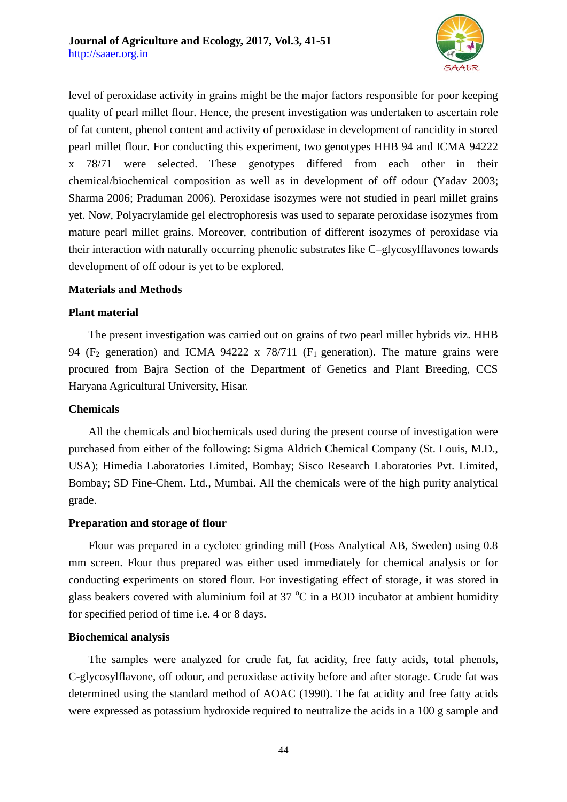

level of peroxidase activity in grains might be the major factors responsible for poor keeping quality of pearl millet flour. Hence, the present investigation was undertaken to ascertain role of fat content, phenol content and activity of peroxidase in development of rancidity in stored pearl millet flour. For conducting this experiment, two genotypes HHB 94 and ICMA 94222 x 78/71 were selected. These genotypes differed from each other in their chemical/biochemical composition as well as in development of off odour (Yadav 2003; Sharma 2006; Praduman 2006). Peroxidase isozymes were not studied in pearl millet grains yet. Now, Polyacrylamide gel electrophoresis was used to separate peroxidase isozymes from mature pearl millet grains. Moreover, contribution of different isozymes of peroxidase via their interaction with naturally occurring phenolic substrates like C–glycosylflavones towards development of off odour is yet to be explored.

### **Materials and Methods**

### **Plant material**

The present investigation was carried out on grains of two pearl millet hybrids viz. HHB 94 (F<sub>2</sub> generation) and ICMA 94222 x 78/711 (F<sub>1</sub> generation). The mature grains were procured from Bajra Section of the Department of Genetics and Plant Breeding, CCS Haryana Agricultural University, Hisar.

#### **Chemicals**

All the chemicals and biochemicals used during the present course of investigation were purchased from either of the following: Sigma Aldrich Chemical Company (St. Louis, M.D., USA); Himedia Laboratories Limited, Bombay; Sisco Research Laboratories Pvt. Limited, Bombay; SD Fine-Chem. Ltd., Mumbai. All the chemicals were of the high purity analytical grade.

#### **Preparation and storage of flour**

Flour was prepared in a cyclotec grinding mill (Foss Analytical AB, Sweden) using 0.8 mm screen. Flour thus prepared was either used immediately for chemical analysis or for conducting experiments on stored flour. For investigating effect of storage, it was stored in glass beakers covered with aluminium foil at  $37 \degree C$  in a BOD incubator at ambient humidity for specified period of time i.e. 4 or 8 days.

# **Biochemical analysis**

The samples were analyzed for crude fat, fat acidity, free fatty acids, total phenols, C-glycosylflavone, off odour, and peroxidase activity before and after storage. Crude fat was determined using the standard method of AOAC (1990). The fat acidity and free fatty acids were expressed as potassium hydroxide required to neutralize the acids in a 100 g sample and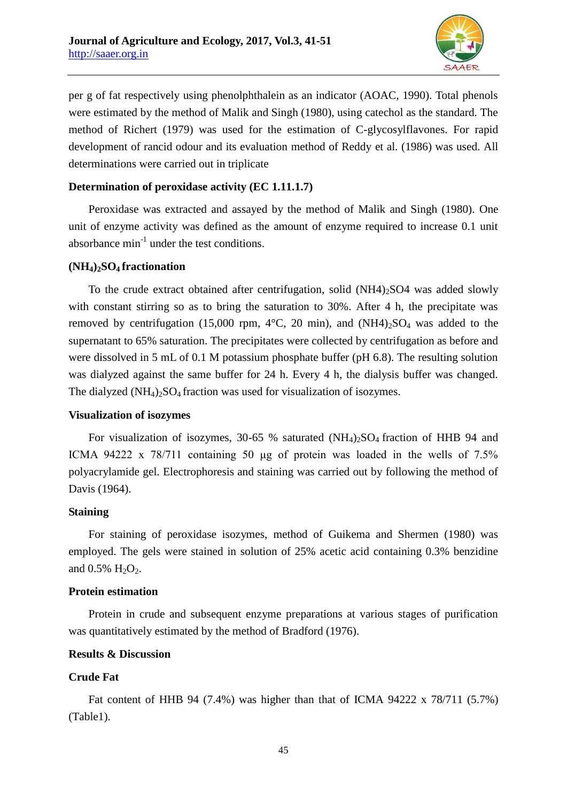

per g of fat respectively using phenolphthalein as an indicator (AOAC, 1990). Total phenols were estimated by the method of Malik and Singh (1980), using catechol as the standard. The method of Richert (1979) was used for the estimation of C-glycosylflavones. For rapid development of rancid odour and its evaluation method of Reddy et al. (1986) was used. All determinations were carried out in triplicate

### **Determination of peroxidase activity (EC 1.11.1.7)**

Peroxidase was extracted and assayed by the method of Malik and Singh (1980). One unit of enzyme activity was defined as the amount of enzyme required to increase 0.1 unit absorbance  $min^{-1}$  under the test conditions.

#### **(NH4)2SO4 fractionation**

To the crude extract obtained after centrifugation, solid  $(NH4)_{2}SO4$  was added slowly with constant stirring so as to bring the saturation to 30%. After 4 h, the precipitate was removed by centrifugation (15,000 rpm,  $4^{\circ}$ C, 20 min), and (NH4)<sub>2</sub>SO<sub>4</sub> was added to the supernatant to 65% saturation. The precipitates were collected by centrifugation as before and were dissolved in 5 mL of 0.1 M potassium phosphate buffer (pH 6.8). The resulting solution was dialyzed against the same buffer for 24 h. Every 4 h, the dialysis buffer was changed. The dialyzed  $(NH_4)$ <sub>2</sub>SO<sub>4</sub> fraction was used for visualization of isozymes.

#### **Visualization of isozymes**

For visualization of isozymes, 30-65 % saturated  $(NH<sub>4</sub>)<sub>2</sub>SO<sub>4</sub>$  fraction of HHB 94 and ICMA 94222 x 78/711 containing 50 μg of protein was loaded in the wells of 7.5% polyacrylamide gel. Electrophoresis and staining was carried out by following the method of Davis (1964).

#### **Staining**

For staining of peroxidase isozymes, method of Guikema and Shermen (1980) was employed. The gels were stained in solution of 25% acetic acid containing 0.3% benzidine and  $0.5\%$  H<sub>2</sub>O<sub>2</sub>.

#### **Protein estimation**

Protein in crude and subsequent enzyme preparations at various stages of purification was quantitatively estimated by the method of Bradford (1976).

#### **Results & Discussion**

# **Crude Fat**

Fat content of HHB 94 (7.4%) was higher than that of ICMA 94222 x 78/711 (5.7%) (Table1).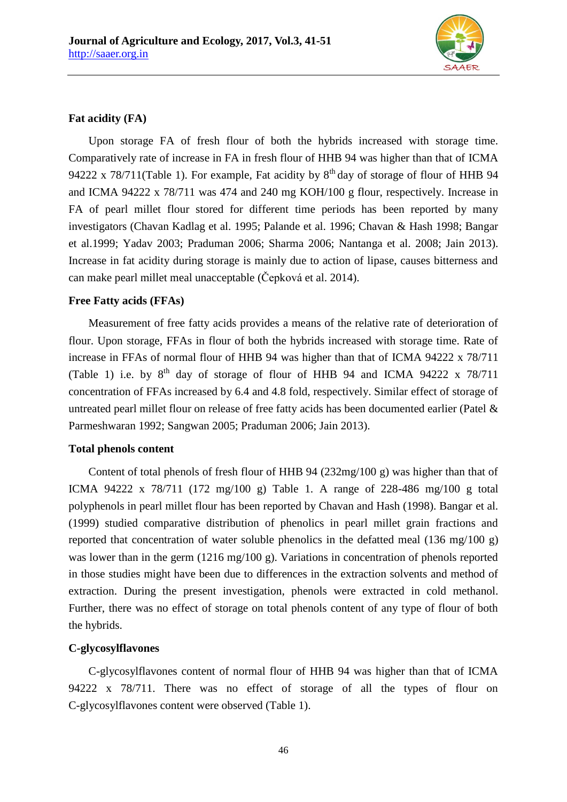

# **Fat acidity (FA)**

Upon storage FA of fresh flour of both the hybrids increased with storage time. Comparatively rate of increase in FA in fresh flour of HHB 94 was higher than that of ICMA 94222 x 78/711(Table 1). For example, Fat acidity by  $8<sup>th</sup>$  day of storage of flour of HHB 94 and ICMA 94222 x 78/711 was 474 and 240 mg KOH/100 g flour, respectively. Increase in FA of pearl millet flour stored for different time periods has been reported by many investigators (Chavan Kadlag et al. 1995; Palande et al. 1996; Chavan & Hash 1998; Bangar et al.1999; Yadav 2003; Praduman 2006; Sharma 2006; Nantanga et al. 2008; Jain 2013). Increase in fat acidity during storage is mainly due to action of lipase, causes bitterness and can make pearl millet meal unacceptable (Čepková et al. 2014).

# **Free Fatty acids (FFAs)**

Measurement of free fatty acids provides a means of the relative rate of deterioration of flour. Upon storage, FFAs in flour of both the hybrids increased with storage time. Rate of increase in FFAs of normal flour of HHB 94 was higher than that of ICMA 94222 x 78/711 (Table 1) i.e. by  $8^{th}$  day of storage of flour of HHB 94 and ICMA 94222 x 78/711 concentration of FFAs increased by 6.4 and 4.8 fold, respectively. Similar effect of storage of untreated pearl millet flour on release of free fatty acids has been documented earlier (Patel & Parmeshwaran 1992; Sangwan 2005; Praduman 2006; Jain 2013).

# **Total phenols content**

Content of total phenols of fresh flour of HHB 94 (232mg/100 g) was higher than that of ICMA 94222 x 78/711 (172 mg/100 g) Table 1. A range of 228-486 mg/100 g total polyphenols in pearl millet flour has been reported by Chavan and Hash (1998). Bangar et al. (1999) studied comparative distribution of phenolics in pearl millet grain fractions and reported that concentration of water soluble phenolics in the defatted meal (136 mg/100 g) was lower than in the germ (1216 mg/100 g). Variations in concentration of phenols reported in those studies might have been due to differences in the extraction solvents and method of extraction. During the present investigation, phenols were extracted in cold methanol. Further, there was no effect of storage on total phenols content of any type of flour of both the hybrids.

# **C-glycosylflavones**

C-glycosylflavones content of normal flour of HHB 94 was higher than that of ICMA 94222 x 78/711. There was no effect of storage of all the types of flour on C-glycosylflavones content were observed (Table 1).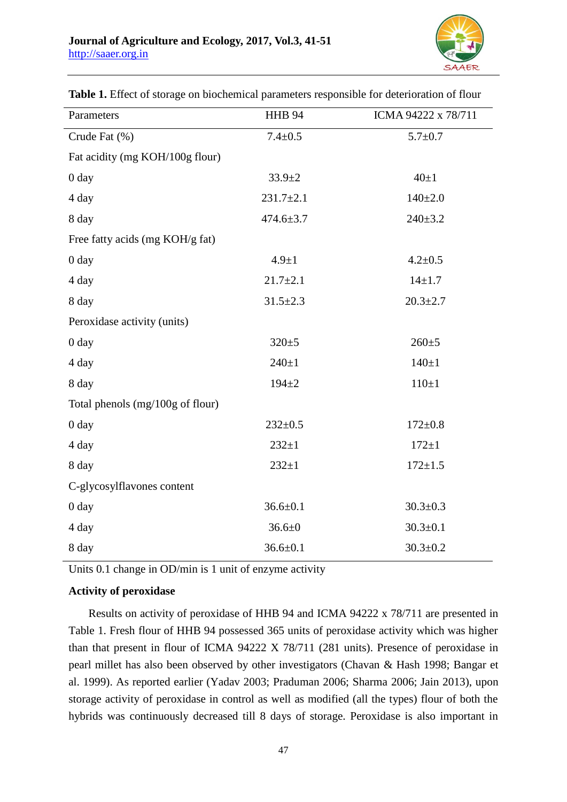

| Parameters                       | <b>HHB 94</b>   | ICMA 94222 x 78/711 |
|----------------------------------|-----------------|---------------------|
| Crude Fat (%)                    | $7.4 \pm 0.5$   | $5.7 + 0.7$         |
| Fat acidity (mg KOH/100g flour)  |                 |                     |
| 0 <sub>day</sub>                 | $33.9 \pm 2$    | $40\pm1$            |
| 4 day                            | $231.7 \pm 2.1$ | $140+2.0$           |
| 8 day                            | $474.6 \pm 3.7$ | $240 \pm 3.2$       |
| Free fatty acids (mg KOH/g fat)  |                 |                     |
| 0 day                            | $4.9 \pm 1$     | $4.2 \pm 0.5$       |
| 4 day                            | $21.7 \pm 2.1$  | $14 + 1.7$          |
| 8 day                            | $31.5 \pm 2.3$  | $20.3 \pm 2.7$      |
| Peroxidase activity (units)      |                 |                     |
| 0 <sub>day</sub>                 | $320 \pm 5$     | $260 \pm 5$         |
| 4 day                            | $240 + 1$       | $140 + 1$           |
| 8 day                            | $194 + 2$       | $110 \pm 1$         |
| Total phenols (mg/100g of flour) |                 |                     |
| 0 <sub>day</sub>                 | $232 \pm 0.5$   | $172 \pm 0.8$       |
| 4 day                            | $232 + 1$       | $172 \pm 1$         |
| 8 day                            | $232 + 1$       | $172 \pm 1.5$       |
| C-glycosylflavones content       |                 |                     |
| $0 \, day$                       | $36.6 \pm 0.1$  | $30.3 \pm 0.3$      |
| 4 day                            | $36.6 \pm 0$    | $30.3 \pm 0.1$      |
| 8 day                            | $36.6 \pm 0.1$  | $30.3 \pm 0.2$      |

**Table 1.** Effect of storage on biochemical parameters responsible for deterioration of flour

Units 0.1 change in OD/min is 1 unit of enzyme activity

# **Activity of peroxidase**

Results on activity of peroxidase of HHB 94 and ICMA 94222 x 78/711 are presented in Table 1. Fresh flour of HHB 94 possessed 365 units of peroxidase activity which was higher than that present in flour of ICMA 94222 X 78/711 (281 units). Presence of peroxidase in pearl millet has also been observed by other investigators (Chavan & Hash 1998; Bangar et al. 1999). As reported earlier (Yadav 2003; Praduman 2006; Sharma 2006; Jain 2013), upon storage activity of peroxidase in control as well as modified (all the types) flour of both the hybrids was continuously decreased till 8 days of storage. Peroxidase is also important in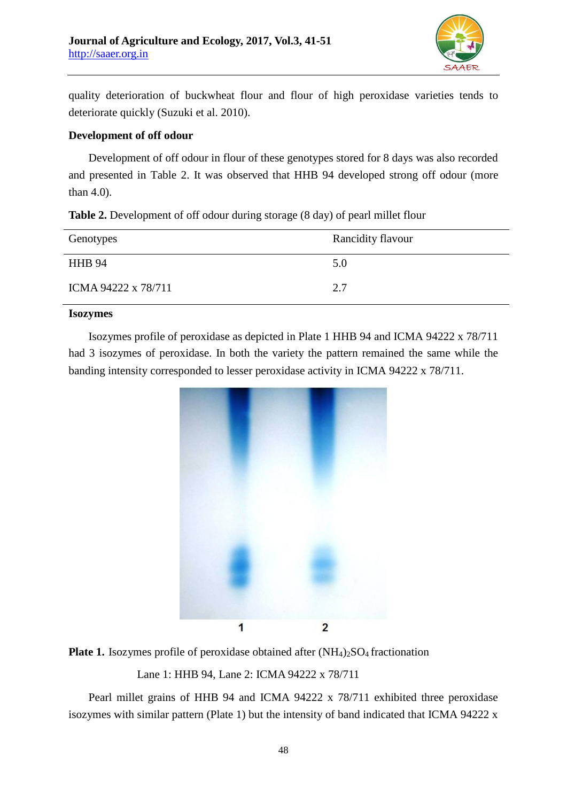

quality deterioration of buckwheat flour and flour of high peroxidase varieties tends to deteriorate quickly (Suzuki et al. 2010).

### **Development of off odour**

Development of off odour in flour of these genotypes stored for 8 days was also recorded and presented in Table 2. It was observed that HHB 94 developed strong off odour (more than 4.0).

| <b>Table 2.</b> Development of off odour during storage (8 day) of pearl millet flour |  |  |  |
|---------------------------------------------------------------------------------------|--|--|--|
|---------------------------------------------------------------------------------------|--|--|--|

| Genotypes           | Rancidity flavour |
|---------------------|-------------------|
| <b>HHB 94</b>       | 5.0               |
| ICMA 94222 x 78/711 | 2.7               |

# **Isozymes**

Isozymes profile of peroxidase as depicted in Plate 1 HHB 94 and ICMA 94222 x 78/711 had 3 isozymes of peroxidase. In both the variety the pattern remained the same while the banding intensity corresponded to lesser peroxidase activity in ICMA 94222 x 78/711.





Lane 1: HHB 94, Lane 2: ICMA 94222 x 78/711

Pearl millet grains of HHB 94 and ICMA 94222 x 78/711 exhibited three peroxidase isozymes with similar pattern (Plate 1) but the intensity of band indicated that ICMA 94222 x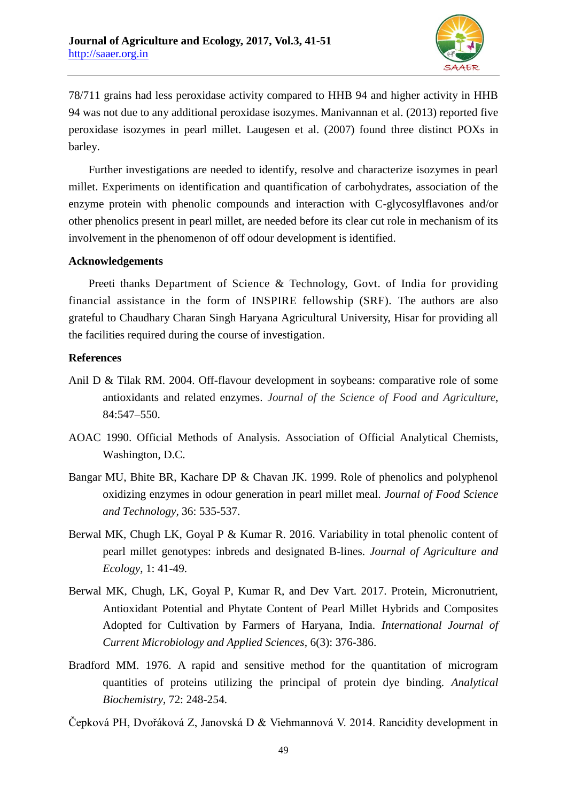

78/711 grains had less peroxidase activity compared to HHB 94 and higher activity in HHB 94 was not due to any additional peroxidase isozymes. Manivannan et al. (2013) reported five peroxidase isozymes in pearl millet. Laugesen et al. (2007) found three distinct POXs in barley.

Further investigations are needed to identify, resolve and characterize isozymes in pearl millet. Experiments on identification and quantification of carbohydrates, association of the enzyme protein with phenolic compounds and interaction with C-glycosylflavones and/or other phenolics present in pearl millet, are needed before its clear cut role in mechanism of its involvement in the phenomenon of off odour development is identified.

### **Acknowledgements**

Preeti thanks Department of Science & Technology, Govt. of India for providing financial assistance in the form of INSPIRE fellowship (SRF). The authors are also grateful to Chaudhary Charan Singh Haryana Agricultural University, Hisar for providing all the facilities required during the course of investigation.

### **References**

- Anil D & Tilak RM. 2004. Off-flavour development in soybeans: comparative role of some antioxidants and related enzymes. *Journal of the Science of Food and Agriculture*, 84:547–550.
- AOAC 1990. Official Methods of Analysis. Association of Official Analytical Chemists, Washington, D.C.
- Bangar MU, Bhite BR, Kachare DP & Chavan JK. 1999. Role of phenolics and polyphenol oxidizing enzymes in odour generation in pearl millet meal. *Journal of Food Science and Technology,* 36: 535-537.
- Berwal MK, Chugh LK, Goyal P & Kumar R. 2016. Variability in total phenolic content of pearl millet genotypes: inbreds and designated B-lines. *Journal of Agriculture and Ecology*, 1: 41-49.
- Berwal MK, Chugh, LK, Goyal P, Kumar R, and Dev Vart. 2017. Protein, Micronutrient, Antioxidant Potential and Phytate Content of Pearl Millet Hybrids and Composites Adopted for Cultivation by Farmers of Haryana, India. *International Journal of Current Microbiology and Applied Sciences*, 6(3): 376-386.
- Bradford MM. 1976. A rapid and sensitive method for the quantitation of microgram quantities of proteins utilizing the principal of protein dye binding. *Analytical Biochemistry*, 72: 248-254.

Čepková PH, Dvořáková Z, Janovská D & Viehmannová V. 2014. Rancidity development in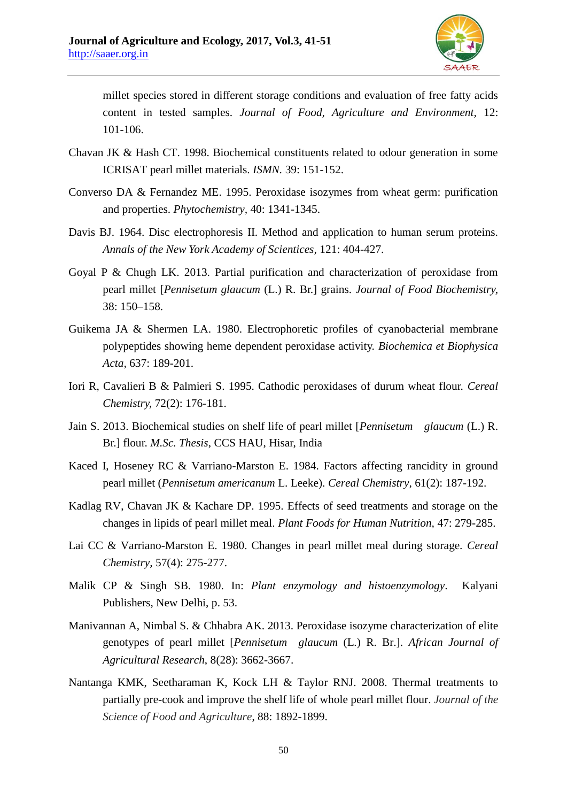

millet species stored in different storage conditions and evaluation of free fatty acids content in tested samples. *Journal of Food, Agriculture and Environment,* 12: 101-106.

- Chavan JK & Hash CT. 1998. Biochemical constituents related to odour generation in some ICRISAT pearl millet materials. *ISMN.* 39: 151-152.
- Converso DA & Fernandez ME. 1995. Peroxidase isozymes from wheat germ: purification and properties. *Phytochemistry,* 40: 1341-1345.
- Davis BJ. 1964. Disc electrophoresis II. Method and application to human serum proteins. *Annals of the New York Academy of Scientices,* 121: 404-427.
- Goyal P & Chugh LK. 2013. Partial purification and characterization of peroxidase from pearl millet [*Pennisetum glaucum* (L.) R. Br.] grains. *Journal of Food Biochemistry,* 38: 150–158.
- Guikema JA & Shermen LA. 1980. Electrophoretic profiles of cyanobacterial membrane polypeptides showing heme dependent peroxidase activity. *Biochemica et Biophysica Acta,* 637: 189-201.
- Iori R, Cavalieri B & Palmieri S. 1995. Cathodic peroxidases of durum wheat flour. *Cereal Chemistry,* 72(2): 176-181.
- Jain S. 2013. Biochemical studies on shelf life of pearl millet [*Pennisetum glaucum* (L.) R. Br.] flour. *M.Sc. Thesis*, CCS HAU, Hisar, India
- Kaced I, Hoseney RC & Varriano-Marston E. 1984. Factors affecting rancidity in ground pearl millet (*Pennisetum americanum* L. Leeke). *Cereal Chemistry,* 61(2): 187-192.
- Kadlag RV, Chavan JK & Kachare DP. 1995. Effects of seed treatments and storage on the changes in lipids of pearl millet meal. *Plant Foods for Human Nutrition,* 47: 279-285.
- Lai CC & Varriano-Marston E. 1980. Changes in pearl millet meal during storage. *Cereal Chemistry,* 57(4): 275-277.
- Malik CP & Singh SB. 1980. In: *Plant enzymology and histoenzymology*. Kalyani Publishers, New Delhi, p. 53.
- Manivannan A, Nimbal S. & Chhabra AK. 2013. Peroxidase isozyme characterization of elite genotypes of pearl millet [*Pennisetum glaucum* (L.) R. Br.]. *African Journal of Agricultural Research*, 8(28): 3662-3667.
- Nantanga KMK, Seetharaman K, Kock LH & Taylor RNJ. 2008. Thermal treatments to partially pre-cook and improve the shelf life of whole pearl millet flour. *Journal of the Science of Food and Agriculture*, 88: 1892-1899.